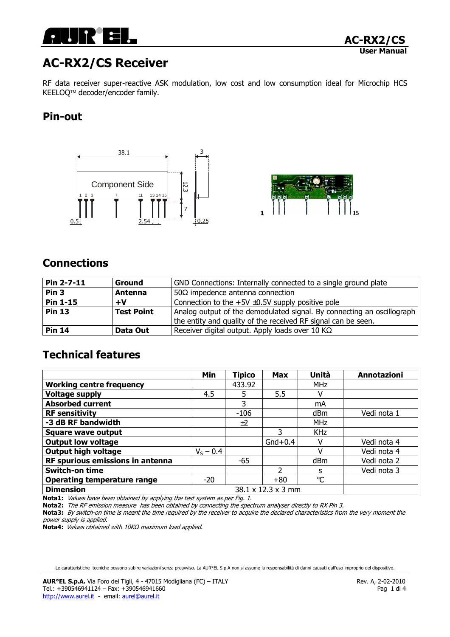

# AC-RX2/CS Receiver

RF data receiver super-reactive ASK modulation, low cost and low consumption ideal for Microchip HCS KEELOQ<sup>™</sup> decoder/encoder family.

## Pin-out





## **Connections**

| $Pin 2-7-11$     | <b>Ground</b>     | GND Connections: Internally connected to a single ground plate         |
|------------------|-------------------|------------------------------------------------------------------------|
| Pin <sub>3</sub> | Antenna           | $50\Omega$ impedence antenna connection                                |
| <b>Pin 1-15</b>  | $+V$              | Connection to the $+5V \pm 0.5V$ supply positive pole                  |
| <b>Pin 13</b>    | <b>Test Point</b> | Analog output of the demodulated signal. By connecting an oscillograph |
|                  |                   | the entity and quality of the received RF signal can be seen.          |
| <b>Pin 14</b>    | Data Out          | Receiver digital output. Apply loads over 10 K $\Omega$                |

## Technical features

|                                    | <b>Min</b>         | <b>Tipico</b> | <b>Max</b> | Unità        | <b>Annotazioni</b> |
|------------------------------------|--------------------|---------------|------------|--------------|--------------------|
| <b>Working centre frequency</b>    |                    | 433.92        |            | <b>MHz</b>   |                    |
| <b>Voltage supply</b>              | 4.5                | 5             | 5.5        |              |                    |
| <b>Absorbed current</b>            |                    | 3             |            | mA           |                    |
| <b>RF sensitivity</b>              |                    | $-106$        |            | dBm          | Vedi nota 1        |
| -3 dB RF bandwidth                 |                    | ±2            |            | <b>MHz</b>   |                    |
| <b>Square wave output</b>          |                    |               | 3          | <b>KHz</b>   |                    |
| <b>Output low voltage</b>          |                    |               | $Gnd+0.4$  |              | Vedi nota 4        |
| <b>Output high voltage</b>         | $V_S - 0.4$        |               |            |              | Vedi nota 4        |
| RF spurious emissions in antenna   |                    | $-65$         |            | dBm          | Vedi nota 2        |
| <b>Switch-on time</b>              |                    |               | ว          | s            | Vedi nota 3        |
| <b>Operating temperature range</b> | $-20$              |               | $+80$      | $\mathrm{C}$ |                    |
| <b>Dimension</b>                   | 38.1 x 12.3 x 3 mm |               |            |              |                    |

Nota1: Values have been obtained by applying the test system as per Fig. 1.

Nota2: The RF emission measure has been obtained by connecting the spectrum analyser directly to RX Pin 3.

Nota3: By switch-on time is meant the time required by the receiver to acquire the declared characteristics from the very moment the power supply is applied.

Nota4: Values obtained with 10KΩ maximum load applied.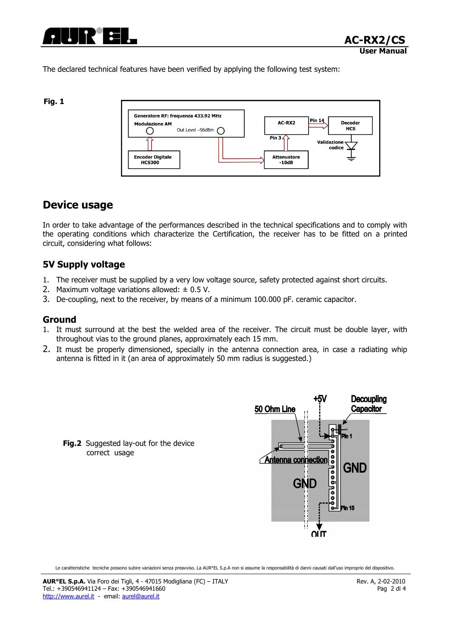

The declared technical features have been verified by applying the following test system:

#### Fig. 1



## Device usage

In order to take advantage of the performances described in the technical specifications and to comply with the operating conditions which characterize the Certification, the receiver has to be fitted on a printed circuit, considering what follows:

### 5V Supply voltage

- 1. The receiver must be supplied by a very low voltage source, safety protected against short circuits.
- 2. Maximum voltage variations allowed:  $\pm$  0.5 V.
- 3. De-coupling, next to the receiver, by means of a minimum 100.000 pF. ceramic capacitor.

### Ground

- 1. It must surround at the best the welded area of the receiver. The circuit must be double layer, with throughout vias to the ground planes, approximately each 15 mm.
- 2. It must be properly dimensioned, specially in the antenna connection area, in case a radiating whip antenna is fitted in it (an area of approximately 50 mm radius is suggested.)



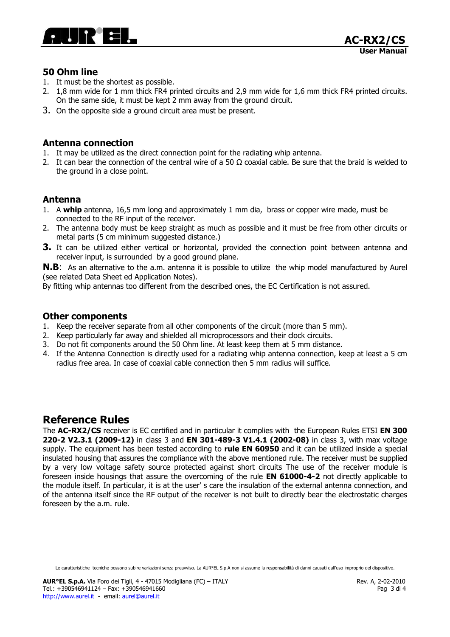

### 50 Ohm line

- 1. It must be the shortest as possible.
- 2. 1,8 mm wide for 1 mm thick FR4 printed circuits and 2,9 mm wide for 1,6 mm thick FR4 printed circuits. On the same side, it must be kept 2 mm away from the ground circuit.
- 3. On the opposite side a ground circuit area must be present.

### Antenna connection

- 1. It may be utilized as the direct connection point for the radiating whip antenna.
- 2. It can bear the connection of the central wire of a 50  $\Omega$  coaxial cable. Be sure that the braid is welded to the ground in a close point.

### Antenna

- 1. A whip antenna, 16,5 mm long and approximately 1 mm dia, brass or copper wire made, must be connected to the RF input of the receiver.
- 2. The antenna body must be keep straight as much as possible and it must be free from other circuits or metal parts (5 cm minimum suggested distance.)
- **3.** It can be utilized either vertical or horizontal, provided the connection point between antenna and receiver input, is surrounded by a good ground plane.

**N.B:** As an alternative to the a.m. antenna it is possible to utilize the whip model manufactured by Aurel (see related Data Sheet ed Application Notes).

By fitting whip antennas too different from the described ones, the EC Certification is not assured.

### Other components

- 1. Keep the receiver separate from all other components of the circuit (more than 5 mm).
- 2. Keep particularly far away and shielded all microprocessors and their clock circuits.
- 3. Do not fit components around the 50 Ohm line. At least keep them at 5 mm distance.
- 4. If the Antenna Connection is directly used for a radiating whip antenna connection, keep at least a 5 cm radius free area. In case of coaxial cable connection then 5 mm radius will suffice.

## Reference Rules

The AC-RX2/CS receiver is EC certified and in particular it complies with the European Rules ETSI EN 300 220-2 V2.3.1 (2009-12) in class 3 and EN 301-489-3 V1.4.1 (2002-08) in class 3, with max voltage supply. The equipment has been tested according to rule EN 60950 and it can be utilized inside a special insulated housing that assures the compliance with the above mentioned rule. The receiver must be supplied by a very low voltage safety source protected against short circuits The use of the receiver module is foreseen inside housings that assure the overcoming of the rule **EN 61000-4-2** not directly applicable to the module itself. In particular, it is at the user' s care the insulation of the external antenna connection, and of the antenna itself since the RF output of the receiver is not built to directly bear the electrostatic charges foreseen by the a.m. rule.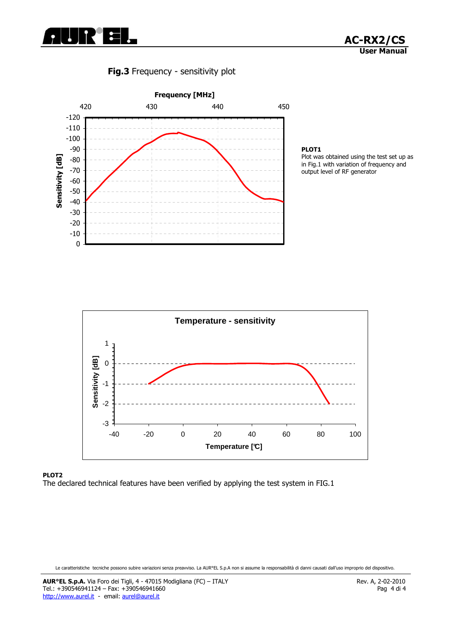





#### PLOT1

Plot was obtained using the test set up as in Fig.1 with variation of frequency and output level of RF generator



#### PLOT2 The declared technical features have been verified by applying the test system in FIG.1